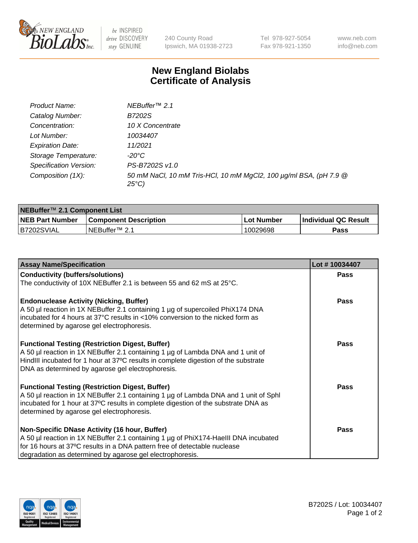

 $be$  INSPIRED drive DISCOVERY stay GENUINE

240 County Road Ipswich, MA 01938-2723 Tel 978-927-5054 Fax 978-921-1350 www.neb.com info@neb.com

## **New England Biolabs Certificate of Analysis**

| Product Name:                 | NEBuffer <sup>™</sup> 2.1                                                          |
|-------------------------------|------------------------------------------------------------------------------------|
| Catalog Number:               | B7202S                                                                             |
| Concentration:                | 10 X Concentrate                                                                   |
| Lot Number:                   | 10034407                                                                           |
| <b>Expiration Date:</b>       | 11/2021                                                                            |
| Storage Temperature:          | -20°C                                                                              |
| <b>Specification Version:</b> | PS-B7202S v1.0                                                                     |
| Composition (1X):             | 50 mM NaCl, 10 mM Tris-HCl, 10 mM MgCl2, 100 µg/ml BSA, (pH 7.9 @<br>$25^{\circ}C$ |

| NEBuffer <sup>™</sup> 2.1 Component List |                              |                   |                             |  |  |
|------------------------------------------|------------------------------|-------------------|-----------------------------|--|--|
| <b>NEB Part Number</b>                   | <b>Component Description</b> | <b>Lot Number</b> | <b>Individual QC Result</b> |  |  |
| B7202SVIAL                               | NEBuffer™ 2.1                | 10029698          | <b>Pass</b>                 |  |  |

| <b>Assay Name/Specification</b>                                                                                                                                                                                                                                                       | Lot #10034407 |
|---------------------------------------------------------------------------------------------------------------------------------------------------------------------------------------------------------------------------------------------------------------------------------------|---------------|
| <b>Conductivity (buffers/solutions)</b>                                                                                                                                                                                                                                               | <b>Pass</b>   |
| The conductivity of 10X NEBuffer 2.1 is between 55 and 62 mS at 25°C.                                                                                                                                                                                                                 |               |
| <b>Endonuclease Activity (Nicking, Buffer)</b><br>A 50 µl reaction in 1X NEBuffer 2.1 containing 1 µg of supercoiled PhiX174 DNA<br>incubated for 4 hours at 37°C results in <10% conversion to the nicked form as<br>determined by agarose gel electrophoresis.                      | <b>Pass</b>   |
| <b>Functional Testing (Restriction Digest, Buffer)</b><br>A 50 µl reaction in 1X NEBuffer 2.1 containing 1 µg of Lambda DNA and 1 unit of<br>HindIII incubated for 1 hour at 37°C results in complete digestion of the substrate<br>DNA as determined by agarose gel electrophoresis. | <b>Pass</b>   |
| <b>Functional Testing (Restriction Digest, Buffer)</b><br>A 50 µl reaction in 1X NEBuffer 2.1 containing 1 µg of Lambda DNA and 1 unit of Sphl<br>incubated for 1 hour at 37°C results in complete digestion of the substrate DNA as<br>determined by agarose gel electrophoresis.    | <b>Pass</b>   |
| Non-Specific DNase Activity (16 hour, Buffer)<br>A 50 µl reaction in 1X NEBuffer 2.1 containing 1 µg of PhiX174-Haelll DNA incubated<br>for 16 hours at 37°C results in a DNA pattern free of detectable nuclease<br>degradation as determined by agarose gel electrophoresis.        | <b>Pass</b>   |